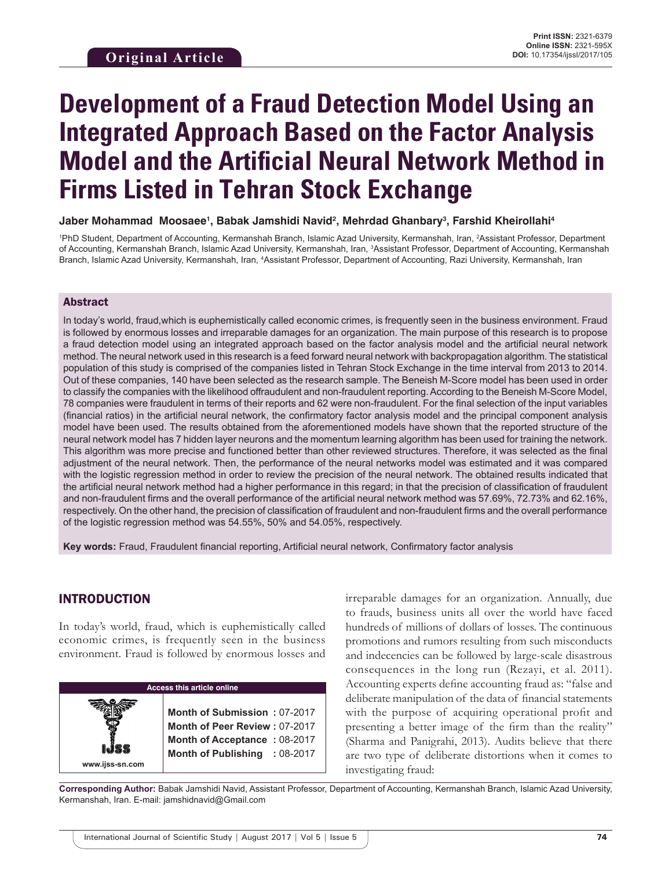# **Development of a Fraud Detection Model Using an Integrated Approach Based on the Factor Analysis Model and the Artificial Neural Network Method in Firms Listed in Tehran Stock Exchange**

#### Jaber Mohammad Moosaee<sup>ı</sup>, Babak Jamshidi Navid<sup>2</sup>, Mehrdad Ghanbary<sup>3</sup>, Farshid Kheirollahi<sup>4</sup>

1 PhD Student, Department of Accounting, Kermanshah Branch, Islamic Azad University, Kermanshah, Iran, 2 Assistant Professor, Department of Accounting, Kermanshah Branch, Islamic Azad University, Kermanshah, Iran, <sup>3</sup>Assistant Professor, Department of Accounting, Kermanshah Branch, Islamic Azad University, Kermanshah, Iran, <sup>4</sup>Assistant Professor, Department of Accounting, Razi University, Kermanshah, Iran

#### Abstract

In today's world, fraud,which is euphemistically called economic crimes, is frequently seen in the business environment. Fraud is followed by enormous losses and irreparable damages for an organization. The main purpose of this research is to propose a fraud detection model using an integrated approach based on the factor analysis model and the artificial neural network method. The neural network used in this research is a feed forward neural network with backpropagation algorithm. The statistical population of this study is comprised of the companies listed in Tehran Stock Exchange in the time interval from 2013 to 2014. Out of these companies, 140 have been selected as the research sample. The Beneish M-Score model has been used in order to classify the companies with the likelihood offraudulent and non-fraudulent reporting. According to the Beneish M-Score Model, 78 companies were fraudulent in terms of their reports and 62 were non-fraudulent. For the final selection of the input variables (financial ratios) in the artificial neural network, the confirmatory factor analysis model and the principal component analysis model have been used. The results obtained from the aforementioned models have shown that the reported structure of the neural network model has 7 hidden layer neurons and the momentum learning algorithm has been used for training the network. This algorithm was more precise and functioned better than other reviewed structures. Therefore, it was selected as the final adjustment of the neural network. Then, the performance of the neural networks model was estimated and it was compared with the logistic regression method in order to review the precision of the neural network. The obtained results indicated that the artificial neural network method had a higher performance in this regard; in that the precision of classification of fraudulent and non-fraudulent firms and the overall performance of the artificial neural network method was 57.69%, 72.73% and 62.16%, respectively. On the other hand, the precision of classification of fraudulent and non-fraudulent firms and the overall performance of the logistic regression method was 54.55%, 50% and 54.05%, respectively.

**Key words:** Fraud, Fraudulent financial reporting, Artificial neural network, Confirmatory factor analysis

## INTRODUCTION

In today's world, fraud, which is euphemistically called economic crimes, is frequently seen in the business environment. Fraud is followed by enormous losses and

**Access this article online www.ijss-sn.com Month of Submission :** 07-2017 **Month of Peer Review :** 07-2017 **Month of Acceptance :** 08-2017 **Month of Publishing :** 08-2017 irreparable damages for an organization. Annually, due to frauds, business units all over the world have faced hundreds of millions of dollars of losses. The continuous promotions and rumors resulting from such misconducts and indecencies can be followed by large-scale disastrous consequences in the long run (Rezayi, et al. 2011). Accounting experts define accounting fraud as: "false and deliberate manipulation of the data of financial statements with the purpose of acquiring operational profit and presenting a better image of the firm than the reality" (Sharma and Panigrahi, 2013). Audits believe that there are two type of deliberate distortions when it comes to investigating fraud:

**Corresponding Author:** Babak Jamshidi Navid, Assistant Professor, Department of Accounting, Kermanshah Branch, Islamic Azad University, Kermanshah, Iran. E-mail: jamshidnavid@Gmail.com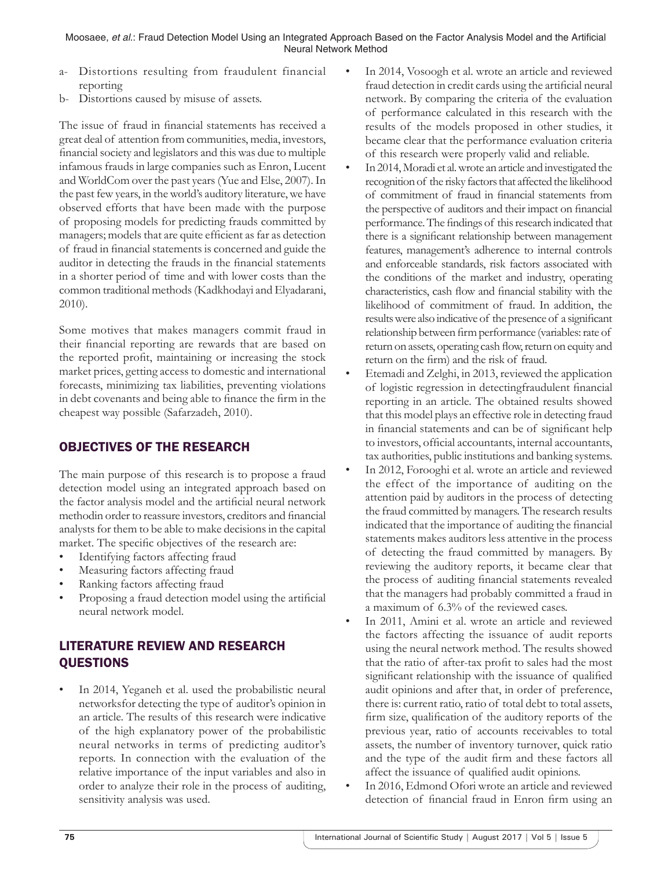Moosaee, *et al*.: Fraud Detection Model Using an Integrated Approach Based on the Factor Analysis Model and the Artificial Neural Network Method

- a- Distortions resulting from fraudulent financial reporting
- b- Distortions caused by misuse of assets.

The issue of fraud in financial statements has received a great deal of attention from communities, media, investors, financial society and legislators and this was due to multiple infamous frauds in large companies such as Enron, Lucent and WorldCom over the past years (Yue and Else, 2007). In the past few years, in the world's auditory literature, we have observed efforts that have been made with the purpose of proposing models for predicting frauds committed by managers; models that are quite efficient as far as detection of fraud in financial statements is concerned and guide the auditor in detecting the frauds in the financial statements in a shorter period of time and with lower costs than the common traditional methods (Kadkhodayi and Elyadarani, 2010).

Some motives that makes managers commit fraud in their financial reporting are rewards that are based on the reported profit, maintaining or increasing the stock market prices, getting access to domestic and international forecasts, minimizing tax liabilities, preventing violations in debt covenants and being able to finance the firm in the cheapest way possible (Safarzadeh, 2010).

# OBJECTIVES OF THE RESEARCH

The main purpose of this research is to propose a fraud detection model using an integrated approach based on the factor analysis model and the artificial neural network methodin order to reassure investors, creditors and financial analysts for them to be able to make decisions in the capital market. The specific objectives of the research are:

- Identifying factors affecting fraud
- Measuring factors affecting fraud
- Ranking factors affecting fraud
- Proposing a fraud detection model using the artificial neural network model.

## LITERATURE REVIEW AND RESEARCH QUESTIONS

In 2014, Yeganeh et al. used the probabilistic neural networksfor detecting the type of auditor's opinion in an article. The results of this research were indicative of the high explanatory power of the probabilistic neural networks in terms of predicting auditor's reports. In connection with the evaluation of the relative importance of the input variables and also in order to analyze their role in the process of auditing, sensitivity analysis was used.

- In 2014, Vosoogh et al. wrote an article and reviewed fraud detection in credit cards using the artificial neural network. By comparing the criteria of the evaluation of performance calculated in this research with the results of the models proposed in other studies, it became clear that the performance evaluation criteria of this research were properly valid and reliable.
- In 2014, Moradi et al. wrote an article and investigated the recognition of the risky factors that affected the likelihood of commitment of fraud in financial statements from the perspective of auditors and their impact on financial performance. The findings of this research indicated that there is a significant relationship between management features, management's adherence to internal controls and enforceable standards, risk factors associated with the conditions of the market and industry, operating characteristics, cash flow and financial stability with the likelihood of commitment of fraud. In addition, the results were also indicative of the presence of a significant relationship between firm performance (variables: rate of return on assets, operating cash flow, return on equity and return on the firm) and the risk of fraud.
- Etemadi and Zelghi, in 2013, reviewed the application of logistic regression in detectingfraudulent financial reporting in an article. The obtained results showed that this model plays an effective role in detecting fraud in financial statements and can be of significant help to investors, official accountants, internal accountants, tax authorities, public institutions and banking systems.
- In 2012, Forooghi et al. wrote an article and reviewed the effect of the importance of auditing on the attention paid by auditors in the process of detecting the fraud committed by managers. The research results indicated that the importance of auditing the financial statements makes auditors less attentive in the process of detecting the fraud committed by managers. By reviewing the auditory reports, it became clear that the process of auditing financial statements revealed that the managers had probably committed a fraud in a maximum of 6.3% of the reviewed cases.
- In 2011, Amini et al. wrote an article and reviewed the factors affecting the issuance of audit reports using the neural network method. The results showed that the ratio of after-tax profit to sales had the most significant relationship with the issuance of qualified audit opinions and after that, in order of preference, there is: current ratio, ratio of total debt to total assets, firm size, qualification of the auditory reports of the previous year, ratio of accounts receivables to total assets, the number of inventory turnover, quick ratio and the type of the audit firm and these factors all affect the issuance of qualified audit opinions.
- In 2016, Edmond Ofori wrote an article and reviewed detection of financial fraud in Enron firm using an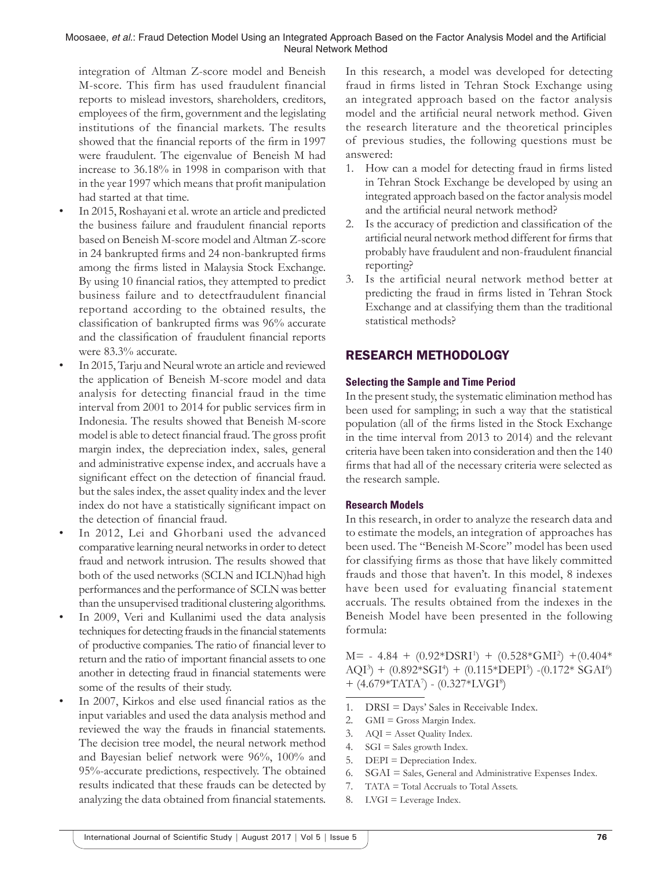Moosaee, *et al*.: Fraud Detection Model Using an Integrated Approach Based on the Factor Analysis Model and the Artificial Neural Network Method

integration of Altman Z-score model and Beneish M-score. This firm has used fraudulent financial reports to mislead investors, shareholders, creditors, employees of the firm, government and the legislating institutions of the financial markets. The results showed that the financial reports of the firm in 1997 were fraudulent. The eigenvalue of Beneish M had increase to 36.18% in 1998 in comparison with that in the year 1997 which means that profit manipulation had started at that time.

- In 2015, Roshayani et al. wrote an article and predicted the business failure and fraudulent financial reports based on Beneish M-score model and Altman Z-score in 24 bankrupted firms and 24 non-bankrupted firms among the firms listed in Malaysia Stock Exchange. By using 10 financial ratios, they attempted to predict business failure and to detectfraudulent financial reportand according to the obtained results, the classification of bankrupted firms was 96% accurate and the classification of fraudulent financial reports were 83.3% accurate.
- In 2015, Tarju and Neural wrote an article and reviewed the application of Beneish M-score model and data analysis for detecting financial fraud in the time interval from 2001 to 2014 for public services firm in Indonesia. The results showed that Beneish M-score model is able to detect financial fraud. The gross profit margin index, the depreciation index, sales, general and administrative expense index, and accruals have a significant effect on the detection of financial fraud. but the sales index, the asset quality index and the lever index do not have a statistically significant impact on the detection of financial fraud.
- In 2012, Lei and Ghorbani used the advanced comparative learning neural networks in order to detect fraud and network intrusion. The results showed that both of the used networks (SCLN and ICLN)had high performances and the performance of SCLN was better than the unsupervised traditional clustering algorithms.
- In 2009, Veri and Kullanimi used the data analysis techniques for detecting frauds in the financial statements of productive companies. The ratio of financial lever to return and the ratio of important financial assets to one another in detecting fraud in financial statements were some of the results of their study.
- In 2007, Kirkos and else used financial ratios as the input variables and used the data analysis method and reviewed the way the frauds in financial statements. The decision tree model, the neural network method and Bayesian belief network were 96%, 100% and 95%-accurate predictions, respectively. The obtained results indicated that these frauds can be detected by analyzing the data obtained from financial statements.

In this research, a model was developed for detecting fraud in firms listed in Tehran Stock Exchange using an integrated approach based on the factor analysis model and the artificial neural network method. Given the research literature and the theoretical principles of previous studies, the following questions must be answered:

- 1. How can a model for detecting fraud in firms listed in Tehran Stock Exchange be developed by using an integrated approach based on the factor analysis model and the artificial neural network method?
- 2. Is the accuracy of prediction and classification of the artificial neural network method different for firms that probably have fraudulent and non-fraudulent financial reporting?
- 3. Is the artificial neural network method better at predicting the fraud in firms listed in Tehran Stock Exchange and at classifying them than the traditional statistical methods?

## RESEARCH METHODOLOGY

#### **Selecting the Sample and Time Period**

In the present study, the systematic elimination method has been used for sampling; in such a way that the statistical population (all of the firms listed in the Stock Exchange in the time interval from 2013 to 2014) and the relevant criteria have been taken into consideration and then the 140 firms that had all of the necessary criteria were selected as the research sample.

#### **Research Models**

In this research, in order to analyze the research data and to estimate the models, an integration of approaches has been used. The "Beneish M-Score" model has been used for classifying firms as those that have likely committed frauds and those that haven't. In this model, 8 indexes have been used for evaluating financial statement accruals. The results obtained from the indexes in the Beneish Model have been presented in the following formula:

 $M = -4.84 + (0.92 \times DSRI^1) + (0.528 \times GMI^2) + (0.404 \times CMI^2)$  $AQI^3$  + (0.892\*SGI<sup>4</sup>) + (0.115\*DEPI<sup>5</sup>) -(0.172\* SGAI<sup>6</sup>)  $+$  (4.679\*TATA<sup>7</sup>) - (0.327\*LVGI<sup>8</sup>)

- 1. DRSI = Days' Sales in Receivable Index.
- 2. GMI = Gross Margin Index.
- 3. AQI = Asset Quality Index.
- 4. SGI = Sales growth Index.
- 5. DEPI = Depreciation Index.
- 6. SGAI = Sales, General and Administrative Expenses Index.
- 7. TATA = Total Accruals to Total Assets.
- 8. LVGI = Leverage Index.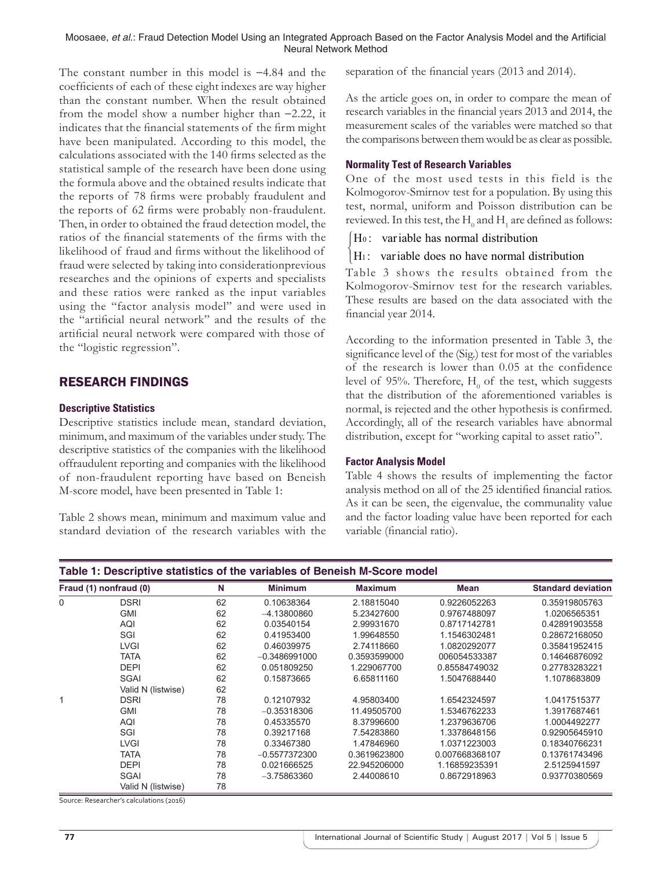Moosaee, *et al*.: Fraud Detection Model Using an Integrated Approach Based on the Factor Analysis Model and the Artificial Neural Network Method

The constant number in this model is −4.84 and the coefficients of each of these eight indexes are way higher than the constant number. When the result obtained from the model show a number higher than −2.22, it indicates that the financial statements of the firm might have been manipulated. According to this model, the calculations associated with the 140 firms selected as the statistical sample of the research have been done using the formula above and the obtained results indicate that the reports of 78 firms were probably fraudulent and the reports of 62 firms were probably non-fraudulent. Then, in order to obtained the fraud detection model, the ratios of the financial statements of the firms with the likelihood of fraud and firms without the likelihood of fraud were selected by taking into considerationprevious researches and the opinions of experts and specialists and these ratios were ranked as the input variables using the "factor analysis model" and were used in the "artificial neural network" and the results of the artificial neural network were compared with those of the "logistic regression".

## RESEARCH FINDINGS

#### **Descriptive Statistics**

Descriptive statistics include mean, standard deviation, minimum, and maximum of the variables under study. The descriptive statistics of the companies with the likelihood offraudulent reporting and companies with the likelihood of non-fraudulent reporting have based on Beneish M-score model, have been presented in Table 1:

Table 2 shows mean, minimum and maximum value and standard deviation of the research variables with the separation of the financial years (2013 and 2014).

As the article goes on, in order to compare the mean of research variables in the financial years 2013 and 2014, the measurement scales of the variables were matched so that the comparisons between them would be as clear as possible.

#### **Normality Test of Research Variables**

One of the most used tests in this field is the Kolmogorov-Smirnov test for a population. By using this test, normal, uniform and Poisson distribution can be reviewed. In this test, the  $\mathrm{H}_{_{0}}$  and  $\mathrm{H}_{_{1}}$  are defined as follows:

 $[H<sub>0</sub>:$  variable has normal distribution

#### $\vert$ H<sub>1</sub>: variable does no have normal distribution  $\mathfrak{l}$

Table 3 shows the results obtained from the Kolmogorov-Smirnov test for the research variables. These results are based on the data associated with the financial year 2014.

According to the information presented in Table 3, the significance level of the (Sig.) test for most of the variables of the research is lower than 0.05 at the confidence level of 95%. Therefore,  $H_0$  of the test, which suggests that the distribution of the aforementioned variables is normal, is rejected and the other hypothesis is confirmed. Accordingly, all of the research variables have abnormal distribution, except for "working capital to asset ratio".

#### **Factor Analysis Model**

Table 4 shows the results of implementing the factor analysis method on all of the 25 identified financial ratios. As it can be seen, the eigenvalue, the communality value and the factor loading value have been reported for each variable (financial ratio).

| Table 1: Descriptive statistics of the variables of Beneish M-Score model |                        |    |                 |                |                |                           |  |
|---------------------------------------------------------------------------|------------------------|----|-----------------|----------------|----------------|---------------------------|--|
|                                                                           | Fraud (1) nonfraud (0) | N  | <b>Minimum</b>  | <b>Maximum</b> | <b>Mean</b>    | <b>Standard deviation</b> |  |
| 0                                                                         | <b>DSRI</b>            | 62 | 0.10638364      | 2.18815040     | 0.9226052263   | 0.35919805763             |  |
|                                                                           | <b>GMI</b>             | 62 | $-4.13800860$   | 5.23427600     | 0.9767488097   | 1.0206565351              |  |
|                                                                           | AQI                    | 62 | 0.03540154      | 2.99931670     | 0.8717142781   | 0.42891903558             |  |
|                                                                           | SGI                    | 62 | 0.41953400      | 1.99648550     | 1.1546302481   | 0.28672168050             |  |
|                                                                           | <b>LVGI</b>            | 62 | 0.46039975      | 2.74118660     | 1.0820292077   | 0.35841952415             |  |
|                                                                           | TATA                   | 62 | $-0.3486991000$ | 0.3593599000   | 006054533387   | 0.14646876092             |  |
|                                                                           | <b>DEPI</b>            | 62 | 0.051809250     | 1.229067700    | 0.85584749032  | 0.27783283221             |  |
|                                                                           | <b>SGAI</b>            | 62 | 0.15873665      | 6.65811160     | 1.5047688440   | 1.1078683809              |  |
|                                                                           | Valid N (listwise)     | 62 |                 |                |                |                           |  |
|                                                                           | <b>DSRI</b>            | 78 | 0.12107932      | 4.95803400     | 1.6542324597   | 1.0417515377              |  |
|                                                                           | <b>GMI</b>             | 78 | $-0.35318306$   | 11.49505700    | 1.5346762233   | 1.3917687461              |  |
|                                                                           | AQI                    | 78 | 0.45335570      | 8.37996600     | 1.2379636706   | 1.0004492277              |  |
|                                                                           | SGI                    | 78 | 0.39217168      | 7.54283860     | 1.3378648156   | 0.92905645910             |  |
|                                                                           | <b>LVGI</b>            | 78 | 0.33467380      | 1.47846960     | 1.0371223003   | 0.18340766231             |  |
|                                                                           | TATA                   | 78 | $-0.5577372300$ | 0.3619623800   | 0.007668368107 | 0.13761743496             |  |
|                                                                           | <b>DEPI</b>            | 78 | 0.021666525     | 22.945206000   | 1.16859235391  | 2.5125941597              |  |
|                                                                           | SGAI                   | 78 | $-3.75863360$   | 2.44008610     | 0.8672918963   | 0.93770380569             |  |
|                                                                           | Valid N (listwise)     | 78 |                 |                |                |                           |  |

Source: Researcher's calculations (2016)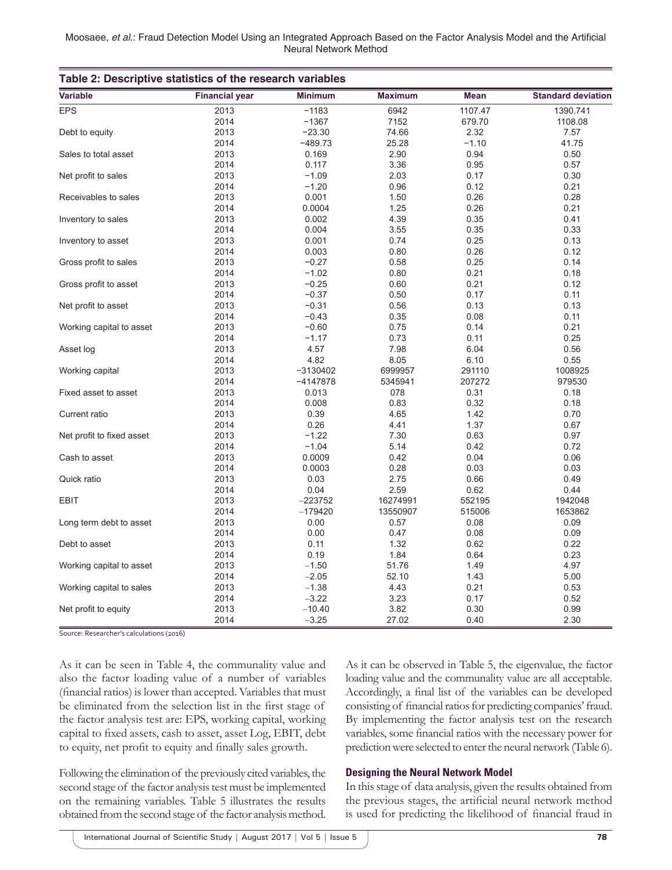|  | Moosaee, et al.: Fraud Detection Model Using an Integrated Approach Based on the Factor Analysis Model and the Artificial |                       |  |  |  |  |
|--|---------------------------------------------------------------------------------------------------------------------------|-----------------------|--|--|--|--|
|  |                                                                                                                           | Neural Network Method |  |  |  |  |

| Table 2: Descriptive statistics of the research variables |                       |                |                |             |                           |  |
|-----------------------------------------------------------|-----------------------|----------------|----------------|-------------|---------------------------|--|
| <b>Variable</b>                                           | <b>Financial year</b> | <b>Minimum</b> | <b>Maximum</b> | <b>Mean</b> | <b>Standard deviation</b> |  |
| <b>EPS</b>                                                | 2013                  | $-1183$        | 6942           | 1107.47     | 1390.741                  |  |
|                                                           | 2014                  | $-1367$        | 7152           | 679.70      | 1108.08                   |  |
| Debt to equity                                            | 2013                  | $-23.30$       | 74.66          | 2.32        | 7.57                      |  |
|                                                           | 2014                  | $-489.73$      | 25.28          | $-1.10$     | 41.75                     |  |
| Sales to total asset                                      | 2013                  | 0.169          | 2.90           | 0.94        | 0.50                      |  |
|                                                           | 2014                  | 0.117          | 3.36           | 0.95        | 0.57                      |  |
| Net profit to sales                                       | 2013                  | $-1.09$        | 2.03           | 0.17        | 0.30                      |  |
|                                                           | 2014                  | $-1.20$        | 0.96           | 0.12        | 0.21                      |  |
| Receivables to sales                                      | 2013                  | 0.001          | 1.50           | 0.26        | 0.28                      |  |
|                                                           | 2014                  | 0.0004         | 1.25           | 0.26        | 0.21                      |  |
| Inventory to sales                                        | 2013                  | 0.002          | 4.39           | 0.35        | 0.41                      |  |
|                                                           | 2014                  | 0.004          | 3.55           | 0.35        | 0.33                      |  |
| Inventory to asset                                        | 2013                  | 0.001          | 0.74           | 0.25        | 0.13                      |  |
|                                                           | 2014                  | 0.003          | 0.80           | 0.26        | 0.12                      |  |
| Gross profit to sales                                     | 2013                  | $-0.27$        | 0.58           | 0.25        | 0.14                      |  |
|                                                           | 2014                  | $-1.02$        | 0.80           | 0.21        | 0.18                      |  |
| Gross profit to asset                                     | 2013                  | $-0.25$        | 0.60           | 0.21        | 0.12                      |  |
|                                                           | 2014                  | $-0.37$        | 0.50           | 0.17        | 0.11                      |  |
| Net profit to asset                                       | 2013                  | $-0.31$        | 0.56           | 0.13        | 0.13                      |  |
|                                                           | 2014                  | $-0.43$        | 0.35           | 0.08        | 0.11                      |  |
| Working capital to asset                                  | 2013                  | $-0.60$        | 0.75           | 0.14        | 0.21                      |  |
|                                                           | 2014                  | $-1.17$        | 0.73           | 0.11        | 0.25                      |  |
| Asset log                                                 | 2013                  | 4.57           | 7.98           | 6.04        | 0.56                      |  |
|                                                           | 2014                  | 4.82           | 8.05           | 6.10        | 0.55                      |  |
|                                                           |                       |                |                |             |                           |  |
| Working capital                                           | 2013                  | $-3130402$     | 6999957        | 291110      | 1008925                   |  |
|                                                           | 2014                  | $-4147878$     | 5345941        | 207272      | 979530                    |  |
| Fixed asset to asset                                      | 2013                  | 0.013          | 078            | 0.31        | 0.18                      |  |
|                                                           | 2014                  | 0.008          | 0.83           | 0.32        | 0.18                      |  |
| Current ratio                                             | 2013                  | 0.39           | 4.65           | 1.42        | 0.70                      |  |
|                                                           | 2014                  | 0.26           | 4.41           | 1.37        | 0.67                      |  |
| Net profit to fixed asset                                 | 2013                  | $-1.22$        | 7.30           | 0.63        | 0.97                      |  |
|                                                           | 2014                  | $-1.04$        | 5.14           | 0.42        | 0.72                      |  |
| Cash to asset                                             | 2013                  | 0.0009         | 0.42           | 0.04        | 0.06                      |  |
|                                                           | 2014                  | 0.0003         | 0.28           | 0.03        | 0.03                      |  |
| Quick ratio                                               | 2013                  | 0.03           | 2.75           | 0.66        | 0.49                      |  |
|                                                           | 2014                  | 0.04           | 2.59           | 0.62        | 0.44                      |  |
| <b>EBIT</b>                                               | 2013                  | $-223752$      | 16274991       | 552195      | 1942048                   |  |
|                                                           | 2014                  | $-179420$      | 13550907       | 515006      | 1653862                   |  |
| Long term debt to asset                                   | 2013                  | 0.00           | 0.57           | 0.08        | 0.09                      |  |
|                                                           | 2014                  | 0.00           | 0.47           | 0.08        | 0.09                      |  |
| Debt to asset                                             | 2013                  | 0.11           | 1.32           | 0.62        | 0.22                      |  |
|                                                           | 2014                  | 0.19           | 1.84           | 0.64        | 0.23                      |  |
| Working capital to asset                                  | 2013                  | $-1.50$        | 51.76          | 1.49        | 4.97                      |  |
|                                                           | 2014                  | $-2.05$        | 52.10          | 1.43        | 5.00                      |  |
| Working capital to sales                                  | 2013                  | $-1.38$        | 4.43           | 0.21        | 0.53                      |  |
|                                                           | 2014                  | $-3.22$        | 3.23           | 0.17        | 0.52                      |  |
| Net profit to equity                                      | 2013                  | $-10.40$       | 3.82           | 0.30        | 0.99                      |  |
|                                                           | 2014                  | $-3.25$        | 27.02          | 0.40        | 2.30                      |  |

Source: Researcher's calculations (2016)

As it can be seen in Table 4, the communality value and also the factor loading value of a number of variables (financial ratios) is lower than accepted. Variables that must be eliminated from the selection list in the first stage of the factor analysis test are: EPS, working capital, working capital to fixed assets, cash to asset, asset Log, EBIT, debt to equity, net profit to equity and finally sales growth.

Following the elimination of the previously cited variables, the second stage of the factor analysis test must be implemented on the remaining variables. Table 5 illustrates the results obtained from the second stage of the factor analysis method. As it can be observed in Table 5, the eigenvalue, the factor loading value and the communality value are all acceptable. Accordingly, a final list of the variables can be developed consisting of financial ratios for predicting companies' fraud. By implementing the factor analysis test on the research variables, some financial ratios with the necessary power for prediction were selected to enter the neural network (Table 6).

#### **Designing the Neural Network Model**

In this stage of data analysis, given the results obtained from the previous stages, the artificial neural network method is used for predicting the likelihood of financial fraud in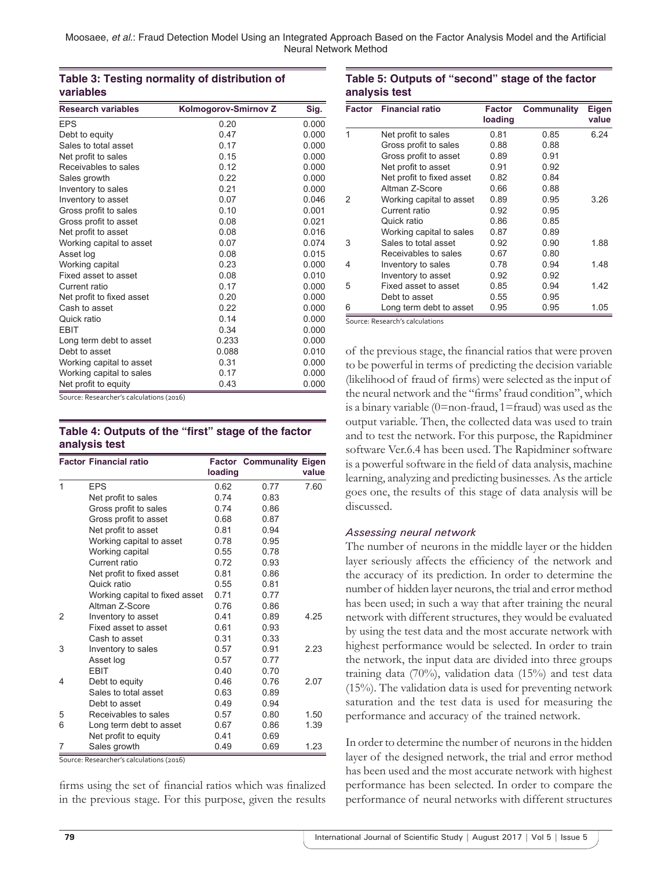## **Table 3: Testing normality of distribution of variables**

| <b>Research variables</b> | Kolmogorov-Smirnov Z | Sig.  |
|---------------------------|----------------------|-------|
| <b>EPS</b>                | 0.20                 | 0.000 |
| Debt to equity            | 0.47                 | 0.000 |
| Sales to total asset      | 0.17                 | 0.000 |
| Net profit to sales       | 0.15                 | 0.000 |
| Receivables to sales      | 0.12                 | 0.000 |
| Sales growth              | 0.22                 | 0.000 |
| Inventory to sales        | 0.21                 | 0.000 |
| Inventory to asset        | 0.07                 | 0.046 |
| Gross profit to sales     | 0.10                 | 0.001 |
| Gross profit to asset     | 0.08                 | 0.021 |
| Net profit to asset       | 0.08                 | 0.016 |
| Working capital to asset  | 0.07                 | 0.074 |
| Asset log                 | 0.08                 | 0.015 |
| Working capital           | 0.23                 | 0.000 |
| Fixed asset to asset      | 0.08                 | 0.010 |
| Current ratio             | 0.17                 | 0.000 |
| Net profit to fixed asset | 0.20                 | 0.000 |
| Cash to asset             | 0.22                 | 0.000 |
| Quick ratio               | 0.14                 | 0.000 |
| <b>EBIT</b>               | 0.34                 | 0.000 |
| Long term debt to asset   | 0.233                | 0.000 |
| Debt to asset             | 0.088                | 0.010 |
| Working capital to asset  | 0.31                 | 0.000 |
| Working capital to sales  | 0.17                 | 0.000 |
| Net profit to equity      | 0.43                 | 0.000 |

Source: Researcher's calculations (2016)

## **Table 4: Outputs of the "first" stage of the factor analysis test**

|               | <b>Factor Financial ratio</b>  |         | <b>Factor Communality Eigen</b> |       |
|---------------|--------------------------------|---------|---------------------------------|-------|
|               |                                | loading |                                 | value |
| 1             | <b>EPS</b>                     | 0.62    | 0.77                            | 7.60  |
|               | Net profit to sales            | 0.74    | 0.83                            |       |
|               | Gross profit to sales          | 0.74    | 0.86                            |       |
|               | Gross profit to asset          | 0.68    | 0.87                            |       |
|               | Net profit to asset            | 0.81    | 0.94                            |       |
|               | Working capital to asset       | 0.78    | 0.95                            |       |
|               | Working capital                | 0.55    | 0.78                            |       |
|               | Current ratio                  | 0.72    | 0.93                            |       |
|               | Net profit to fixed asset      | 0.81    | 0.86                            |       |
|               | Quick ratio                    | 0.55    | 0.81                            |       |
|               | Working capital to fixed asset | 0.71    | 0.77                            |       |
|               | Altman Z-Score                 | 0.76    | 0.86                            |       |
| $\mathcal{P}$ | Inventory to asset             | 0.41    | 0.89                            | 4.25  |
|               | Fixed asset to asset           | 0.61    | 0.93                            |       |
|               | Cash to asset                  | 0.31    | 0.33                            |       |
| 3             | Inventory to sales             | 0.57    | 0.91                            | 2.23  |
|               | Asset log                      | 0.57    | 0.77                            |       |
|               | <b>EBIT</b>                    | 0.40    | 0.70                            |       |
| 4             | Debt to equity                 | 0.46    | 0.76                            | 2.07  |
|               | Sales to total asset           | 0.63    | 0.89                            |       |
|               | Debt to asset                  | 0.49    | 0.94                            |       |
| 5             | Receivables to sales           | 0.57    | 0.80                            | 1.50  |
| 6             | Long term debt to asset        | 0.67    | 0.86                            | 1.39  |
|               | Net profit to equity           | 0.41    | 0.69                            |       |
| 7             | Sales growth                   | 0.49    | 0.69                            | 1.23  |

Source: Researcher's calculations (2016)

firms using the set of financial ratios which was finalized in the previous stage. For this purpose, given the results

## **Table 5: Outputs of "second" stage of the factor analysis test**

| <b>Factor</b> | <b>Financial ratio</b>                                     | Factor<br>loading | Communality | Eigen<br>value |
|---------------|------------------------------------------------------------|-------------------|-------------|----------------|
| 1             | Net profit to sales                                        | 0.81              | 0.85        | 6.24           |
|               | Gross profit to sales                                      | 0.88              | 0.88        |                |
|               | Gross profit to asset                                      | 0.89              | 0.91        |                |
|               | Net profit to asset                                        | 0.91              | 0.92        |                |
|               | Net profit to fixed asset                                  | 0.82              | 0.84        |                |
|               | Altman Z-Score                                             | 0.66              | 0.88        |                |
| 2             | Working capital to asset                                   | 0.89              | 0.95        | 3.26           |
|               | Current ratio                                              | 0.92              | 0.95        |                |
|               | Quick ratio                                                | 0.86              | 0.85        |                |
|               | Working capital to sales                                   | 0.87              | 0.89        |                |
| 3             | Sales to total asset                                       | 0.92              | 0.90        | 1.88           |
|               | Receivables to sales                                       | 0.67              | 0.80        |                |
| 4             | Inventory to sales                                         | 0.78              | 0.94        | 1.48           |
|               | Inventory to asset                                         | 0.92              | 0.92        |                |
| 5             | Fixed asset to asset                                       | 0.85              | 0.94        | 1.42           |
|               | Debt to asset                                              | 0.55              | 0.95        |                |
| 6             | Long term debt to asset<br>Course, Besearch's salsulations | 0.95              | 0.95        | 1.05           |

ce: Research's calculations

of the previous stage, the financial ratios that were proven to be powerful in terms of predicting the decision variable (likelihood of fraud of firms) were selected as the input of the neural network and the "firms' fraud condition", which is a binary variable  $(0=$ non-fraud, 1=fraud) was used as the output variable. Then, the collected data was used to train and to test the network. For this purpose, the Rapidminer software Ver.6.4 has been used. The Rapidminer software is a powerful software in the field of data analysis, machine learning, analyzing and predicting businesses. As the article goes one, the results of this stage of data analysis will be discussed.

#### *Assessing neural network*

The number of neurons in the middle layer or the hidden layer seriously affects the efficiency of the network and the accuracy of its prediction. In order to determine the number of hidden layer neurons, the trial and error method has been used; in such a way that after training the neural network with different structures, they would be evaluated by using the test data and the most accurate network with highest performance would be selected. In order to train the network, the input data are divided into three groups training data (70%), validation data (15%) and test data (15%). The validation data is used for preventing network saturation and the test data is used for measuring the performance and accuracy of the trained network.

In order to determine the number of neurons in the hidden layer of the designed network, the trial and error method has been used and the most accurate network with highest performance has been selected. In order to compare the performance of neural networks with different structures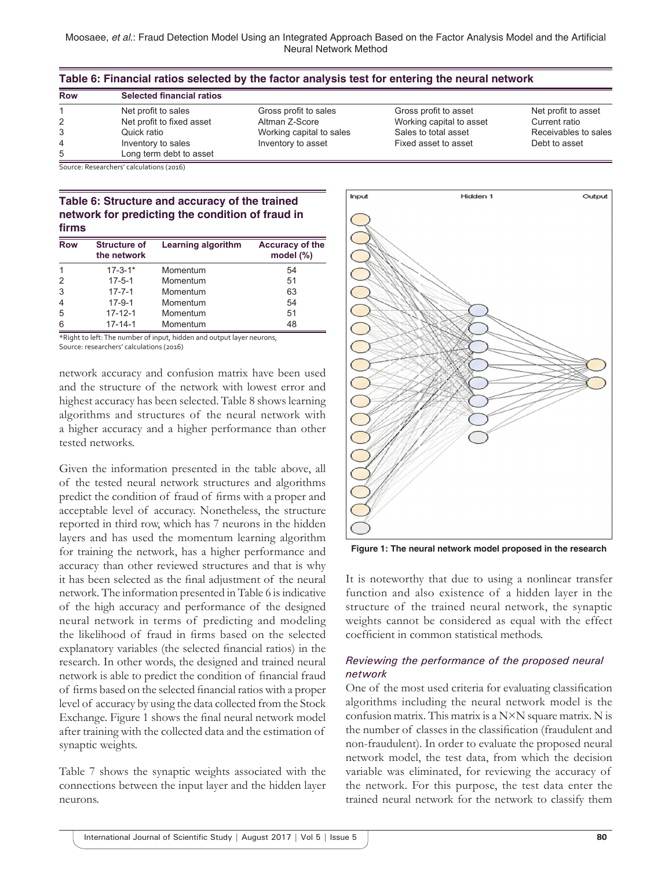| Table 6: Financial ratios selected by the factor analysis test for entering the neural network |                                          |                          |                          |                      |  |
|------------------------------------------------------------------------------------------------|------------------------------------------|--------------------------|--------------------------|----------------------|--|
| Row                                                                                            | <b>Selected financial ratios</b>         |                          |                          |                      |  |
|                                                                                                | Net profit to sales                      | Gross profit to sales    | Gross profit to asset    | Net profit to asset  |  |
| 2                                                                                              | Net profit to fixed asset                | Altman Z-Score           | Working capital to asset | Current ratio        |  |
|                                                                                                | Quick ratio                              | Working capital to sales | Sales to total asset     | Receivables to sales |  |
| 4                                                                                              | Inventory to sales                       | Inventory to asset       | Fixed asset to asset     | Debt to asset        |  |
| 5                                                                                              | Long term debt to asset                  |                          |                          |                      |  |
|                                                                                                | Source: Receprohers' calculations (2016) |                          |                          |                      |  |

Source: Researchers' calculations (2016)

## **Table 6: Structure and accuracy of the trained network for predicting the condition of fraud in firms**

| <b>Row</b>     | <b>Structure of</b><br>the network | Learning algorithm | <b>Accuracy of the</b><br>model $(\%)$ |
|----------------|------------------------------------|--------------------|----------------------------------------|
|                | $17 - 3 - 1*$                      | Momentum           | 54                                     |
| $\mathcal{P}$  | $17 - 5 - 1$                       | Momentum           | 51                                     |
| 3              | $17 - 7 - 1$                       | Momentum           | 63                                     |
| $\overline{4}$ | $17-9-1$                           | Momentum           | 54                                     |
| 5              | $17 - 12 - 1$                      | Momentum           | 51                                     |
| 6              | $17 - 14 - 1$                      | Momentum           | 48                                     |

\*Right to left: The number of input, hidden and output layer neurons, Source: researchers' calculations (2016)

network accuracy and confusion matrix have been used and the structure of the network with lowest error and highest accuracy has been selected. Table 8 shows learning algorithms and structures of the neural network with a higher accuracy and a higher performance than other tested networks.

Given the information presented in the table above, all of the tested neural network structures and algorithms predict the condition of fraud of firms with a proper and acceptable level of accuracy. Nonetheless, the structure reported in third row, which has 7 neurons in the hidden layers and has used the momentum learning algorithm for training the network, has a higher performance and accuracy than other reviewed structures and that is why it has been selected as the final adjustment of the neural network. The information presented in Table 6 is indicative of the high accuracy and performance of the designed neural network in terms of predicting and modeling the likelihood of fraud in firms based on the selected explanatory variables (the selected financial ratios) in the research. In other words, the designed and trained neural network is able to predict the condition of financial fraud of firms based on the selected financial ratios with a proper level of accuracy by using the data collected from the Stock Exchange. Figure 1 shows the final neural network model after training with the collected data and the estimation of synaptic weights.

Table 7 shows the synaptic weights associated with the connections between the input layer and the hidden layer neurons.



**Figure 1: The neural network model proposed in the research**

It is noteworthy that due to using a nonlinear transfer function and also existence of a hidden layer in the structure of the trained neural network, the synaptic weights cannot be considered as equal with the effect coefficient in common statistical methods.

#### *Reviewing the performance of the proposed neural network*

One of the most used criteria for evaluating classification algorithms including the neural network model is the confusion matrix. This matrix is a  $N \times N$  square matrix. N is the number of classes in the classification (fraudulent and non-fraudulent). In order to evaluate the proposed neural network model, the test data, from which the decision variable was eliminated, for reviewing the accuracy of the network. For this purpose, the test data enter the trained neural network for the network to classify them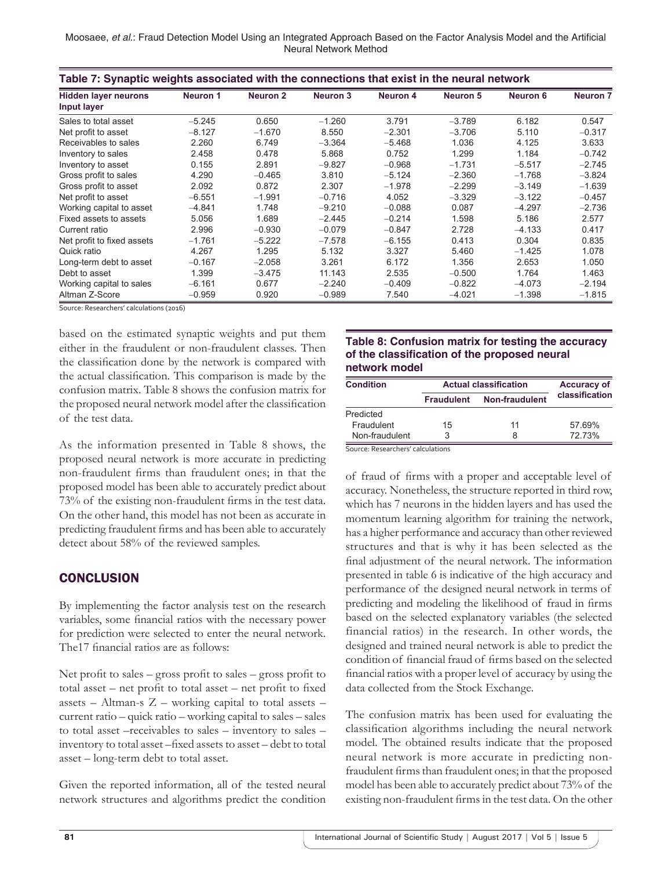Moosaee, *et al*.: Fraud Detection Model Using an Integrated Approach Based on the Factor Analysis Model and the Artificial Neural Network Method

| Table 7: Synaptic weights associated with the connections that exist in the neural network |                 |                     |                 |                 |          |          |                 |
|--------------------------------------------------------------------------------------------|-----------------|---------------------|-----------------|-----------------|----------|----------|-----------------|
| <b>Hidden layer neurons</b><br>Input layer                                                 | <b>Neuron 1</b> | Neuron <sub>2</sub> | <b>Neuron 3</b> | <b>Neuron 4</b> | Neuron 5 | Neuron 6 | <b>Neuron 7</b> |
| Sales to total asset                                                                       | $-5.245$        | 0.650               | $-1.260$        | 3.791           | $-3.789$ | 6.182    | 0.547           |
| Net profit to asset                                                                        | $-8.127$        | $-1.670$            | 8.550           | $-2.301$        | $-3.706$ | 5.110    | $-0.317$        |
| Receivables to sales                                                                       | 2.260           | 6.749               | $-3.364$        | $-5.468$        | 1.036    | 4.125    | 3.633           |
| Inventory to sales                                                                         | 2.458           | 0.478               | 5.868           | 0.752           | 1.299    | 1.184    | $-0.742$        |
| Inventory to asset                                                                         | 0.155           | 2.891               | $-9.827$        | $-0.968$        | $-1.731$ | $-5.517$ | $-2.745$        |
| Gross profit to sales                                                                      | 4.290           | $-0.465$            | 3.810           | $-5.124$        | $-2.360$ | $-1.768$ | $-3.824$        |
| Gross profit to asset                                                                      | 2.092           | 0.872               | 2.307           | $-1.978$        | $-2.299$ | $-3.149$ | $-1.639$        |
| Net profit to asset                                                                        | $-6.551$        | $-1.991$            | $-0.716$        | 4.052           | $-3.329$ | $-3.122$ | $-0.457$        |
| Working capital to asset                                                                   | $-4.841$        | 1.748               | $-9.210$        | $-0.088$        | 0.087    | $-4.297$ | $-2.736$        |
| Fixed assets to assets                                                                     | 5.056           | 1.689               | $-2.445$        | $-0.214$        | 1.598    | 5.186    | 2.577           |
| Current ratio                                                                              | 2.996           | $-0.930$            | $-0.079$        | $-0.847$        | 2.728    | $-4.133$ | 0.417           |
| Net profit to fixed assets                                                                 | $-1.761$        | $-5.222$            | $-7.578$        | $-6.155$        | 0.413    | 0.304    | 0.835           |
| Quick ratio                                                                                | 4.267           | 1.295               | 5.132           | 3.327           | 5.460    | $-1.425$ | 1.078           |
| Long-term debt to asset                                                                    | $-0.167$        | $-2.058$            | 3.261           | 6.172           | 1.356    | 2.653    | 1.050           |
| Debt to asset                                                                              | 1.399           | $-3.475$            | 11.143          | 2.535           | $-0.500$ | 1.764    | 1.463           |
| Working capital to sales                                                                   | $-6.161$        | 0.677               | $-2.240$        | $-0.409$        | $-0.822$ | $-4.073$ | $-2.194$        |
| Altman Z-Score                                                                             | $-0.959$        | 0.920               | $-0.989$        | 7.540           | $-4.021$ | $-1.398$ | $-1.815$        |

Source: Researchers' calculations (2016)

based on the estimated synaptic weights and put them either in the fraudulent or non-fraudulent classes. Then the classification done by the network is compared with the actual classification. This comparison is made by the confusion matrix. Table 8 shows the confusion matrix for the proposed neural network model after the classification of the test data.

As the information presented in Table 8 shows, the proposed neural network is more accurate in predicting non-fraudulent firms than fraudulent ones; in that the proposed model has been able to accurately predict about 73% of the existing non-fraudulent firms in the test data. On the other hand, this model has not been as accurate in predicting fraudulent firms and has been able to accurately detect about 58% of the reviewed samples.

## **CONCLUSION**

By implementing the factor analysis test on the research variables, some financial ratios with the necessary power for prediction were selected to enter the neural network. The17 financial ratios are as follows:

Net profit to sales – gross profit to sales – gross profit to total asset – net profit to total asset – net profit to fixed assets – Altman-s  $Z$  – working capital to total assets – current ratio – quick ratio – working capital to sales – sales to total asset –receivables to sales – inventory to sales – inventory to total asset –fixed assets to asset – debt to total asset – long-term debt to total asset.

Given the reported information, all of the tested neural network structures and algorithms predict the condition

### **Table 8: Confusion matrix for testing the accuracy of the classification of the proposed neural network model**

| <b>Condition</b> | <b>Actual classification</b> | <b>Accuracy of</b>    |                |  |
|------------------|------------------------------|-----------------------|----------------|--|
|                  | <b>Fraudulent</b>            | <b>Non-fraudulent</b> | classification |  |
| Predicted        |                              |                       |                |  |
| Fraudulent       | 15                           | 11                    | 57.69%         |  |
| Non-fraudulent   | 3                            | 8                     | 72.73%         |  |

Source: Researchers' calculations

of fraud of firms with a proper and acceptable level of accuracy. Nonetheless, the structure reported in third row, which has 7 neurons in the hidden layers and has used the momentum learning algorithm for training the network, has a higher performance and accuracy than other reviewed structures and that is why it has been selected as the final adjustment of the neural network. The information presented in table 6 is indicative of the high accuracy and performance of the designed neural network in terms of predicting and modeling the likelihood of fraud in firms based on the selected explanatory variables (the selected financial ratios) in the research. In other words, the designed and trained neural network is able to predict the condition of financial fraud of firms based on the selected financial ratios with a proper level of accuracy by using the data collected from the Stock Exchange.

The confusion matrix has been used for evaluating the classification algorithms including the neural network model. The obtained results indicate that the proposed neural network is more accurate in predicting nonfraudulent firms than fraudulent ones; in that the proposed model has been able to accurately predict about 73% of the existing non-fraudulent firms in the test data. On the other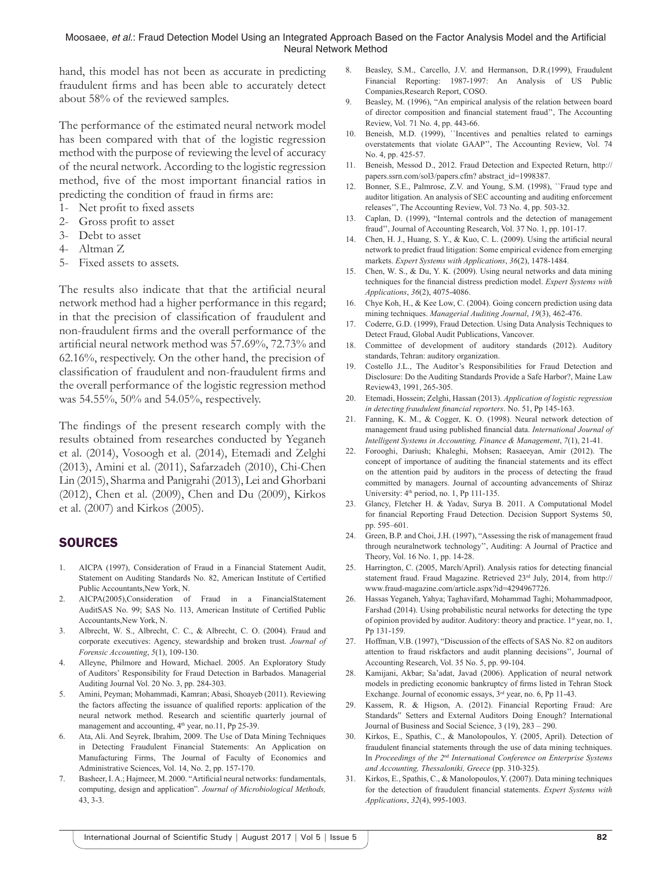hand, this model has not been as accurate in predicting fraudulent firms and has been able to accurately detect about 58% of the reviewed samples.

The performance of the estimated neural network model has been compared with that of the logistic regression method with the purpose of reviewing the level of accuracy of the neural network. According to the logistic regression method, five of the most important financial ratios in predicting the condition of fraud in firms are:

- 1- Net profit to fixed assets
- 2- Gross profit to asset
- 3- Debt to asset
- 4- Altman Z
- 5- Fixed assets to assets.

The results also indicate that that the artificial neural network method had a higher performance in this regard; in that the precision of classification of fraudulent and non-fraudulent firms and the overall performance of the artificial neural network method was 57.69%, 72.73% and 62.16%, respectively. On the other hand, the precision of classification of fraudulent and non-fraudulent firms and the overall performance of the logistic regression method was 54.55%, 50% and 54.05%, respectively.

The findings of the present research comply with the results obtained from researches conducted by Yeganeh et al. (2014), Vosoogh et al. (2014), Etemadi and Zelghi (2013), Amini et al. (2011), Safarzadeh (2010), Chi-Chen Lin (2015), Sharma and Panigrahi (2013), Lei and Ghorbani (2012), Chen et al. (2009), Chen and Du (2009), Kirkos et al. (2007) and Kirkos (2005).

## **SOURCES**

- 1. AICPA (1997), Consideration of Fraud in a Financial Statement Audit, Statement on Auditing Standards No. 82, American Institute of Certified Public Accountants,New York, N.
- 2. AICPA(2005),Consideration of Fraud in a FinancialStatement AuditSAS No. 99; SAS No. 113, American Institute of Certified Public Accountants,New York, N.
- 3. Albrecht, W. S., Albrecht, C. C., & Albrecht, C. O. (2004). Fraud and corporate executives: Agency, stewardship and broken trust. *Journal of Forensic Accounting*, *5*(1), 109-130.
- 4. Alleyne, Philmore and Howard, Michael. 2005. An Exploratory Study of Auditors' Responsibility for Fraud Detection in Barbados. Managerial Auditing Journal Vol. 20 No. 3, pp. 284-303.
- 5. Amini, Peyman; Mohammadi, Kamran; Abasi, Shoayeb (2011). Reviewing the factors affecting the issuance of qualified reports: application of the neural network method. Research and scientific quarterly journal of management and accounting, 4<sup>th</sup> year, no.11, Pp 25-39.
- 6. Ata, Ali. And Seyrek, Ibrahim, 2009. The Use of Data Mining Techniques in Detecting Fraudulent Financial Statements: An Application on Manufacturing Firms, The Journal of Faculty of Economics and Administrative Sciences, Vol. 14, No. 2, pp. 157-170.
- 7. Basheer, I. A.; Hajmeer, M. 2000. "Artificial neural networks: fundamentals, computing, design and application". *Journal of Microbiological Methods,*  43, 3-3.
- 8. Beasley, S.M., Carcello, J.V. and Hermanson, D.R.(1999), Fraudulent Financial Reporting: 1987-1997: An Analysis of US Public Companies,Research Report, COSO.
- 9. Beasley, M. (1996), "An empirical analysis of the relation between board of director composition and financial statement fraud'', The Accounting Review, Vol. 71 No. 4, pp. 443-66.
- 10. Beneish, M.D. (1999), ``Incentives and penalties related to earnings overstatements that violate GAAP'', The Accounting Review, Vol. 74 No. 4, pp. 425-57.
- 11. Beneish, Messod D., 2012. Fraud Detection and Expected Return, http:// papers.ssrn.com/sol3/papers.cfm? abstract\_id=1998387.
- 12. Bonner, S.E., Palmrose, Z.V. and Young, S.M. (1998), ``Fraud type and auditor litigation. An analysis of SEC accounting and auditing enforcement releases'', The Accounting Review, Vol. 73 No. 4, pp. 503-32.
- 13. Caplan, D. (1999), "Internal controls and the detection of management fraud'', Journal of Accounting Research, Vol. 37 No. 1, pp. 101-17.
- 14. Chen, H. J., Huang, S. Y., & Kuo, C. L. (2009). Using the artificial neural network to predict fraud litigation: Some empirical evidence from emerging markets. *Expert Systems with Applications*, *36*(2), 1478-1484.
- 15. Chen, W. S., & Du, Y. K. (2009). Using neural networks and data mining techniques for the financial distress prediction model. *Expert Systems with Applications*, *36*(2), 4075-4086.
- 16. Chye Koh, H., & Kee Low, C. (2004). Going concern prediction using data mining techniques. *Managerial Auditing Journal*, *19*(3), 462-476.
- 17. Coderre, G.D. (1999), Fraud Detection. Using Data Analysis Techniques to Detect Fraud, Global Audit Publications, Vancover.
- 18. Committee of development of auditory standards (2012). Auditory standards, Tehran: auditory organization.
- 19. Costello J.L., The Auditor's Responsibilities for Fraud Detection and Disclosure: Do the Auditing Standards Provide a Safe Harbor?, Maine Law Review43, 1991, 265-305.
- 20. Etemadi, Hossein; Zelghi, Hassan (2013). *Application of logistic regression in detecting fraudulent financial reporters*. No. 51, Pp 145-163.
- 21. Fanning, K. M., & Cogger, K. O. (1998). Neural network detection of management fraud using published financial data. *International Journal of Intelligent Systems in Accounting, Finance & Management*, *7*(1), 21-41.
- 22. Forooghi, Dariush; Khaleghi, Mohsen; Rasaeeyan, Amir (2012). The concept of importance of auditing the financial statements and its effect on the attention paid by auditors in the process of detecting the fraud committed by managers. Journal of accounting advancements of Shiraz University:  $4<sup>th</sup>$  period, no. 1, Pp 111-135.
- 23. Glancy, Fletcher H. & Yadav, Surya B. 2011. A Computational Model for financial Reporting Fraud Detection. Decision Support Systems 50, pp. 595–601.
- 24. Green, B.P. and Choi, J.H. (1997), "Assessing the risk of management fraud through neuralnetwork technology'', Auditing: A Journal of Practice and Theory, Vol. 16 No. 1, pp. 14-28.
- 25. Harrington, C. (2005, March/April). Analysis ratios for detecting financial statement fraud. Fraud Magazine. Retrieved 23rd July, 2014, from http:// www.fraud-magazine.com/article.aspx?id=4294967726.
- 26. Hassas Yeganeh, Yahya; Taghavifard, Mohammad Taghi; Mohammadpoor, Farshad (2014). Using probabilistic neural networks for detecting the type of opinion provided by auditor. Auditory: theory and practice. 1<sup>st</sup> year, no. 1, Pp 131-159.
- 27. Hoffman, V.B. (1997), "Discussion of the effects of SAS No. 82 on auditors attention to fraud riskfactors and audit planning decisions'', Journal of Accounting Research, Vol. 35 No. 5, pp. 99-104.
- 28. Kamijani, Akbar; Sa'adat, Javad (2006). Application of neural network models in predicting economic bankruptcy of firms listed in Tehran Stock Exchange. Journal of economic essays, 3rd year, no. 6, Pp 11-43.
- 29. Kassem, R. & Higson, A. (2012). Financial Reporting Fraud: Are Standards" Setters and External Auditors Doing Enough? International Journal of Business and Social Science, 3 (19), 283 – 290.
- 30. Kirkos, E., Spathis, C., & Manolopoulos, Y. (2005, April). Detection of fraudulent financial statements through the use of data mining techniques. In *Proceedings of the 2*nd *International Conference on Enterprise Systems and Accounting, Thessaloniki, Greece* (pp. 310-325).
- 31. Kirkos, E., Spathis, C., & Manolopoulos, Y. (2007). Data mining techniques for the detection of fraudulent financial statements. *Expert Systems with Applications*, *32*(4), 995-1003.